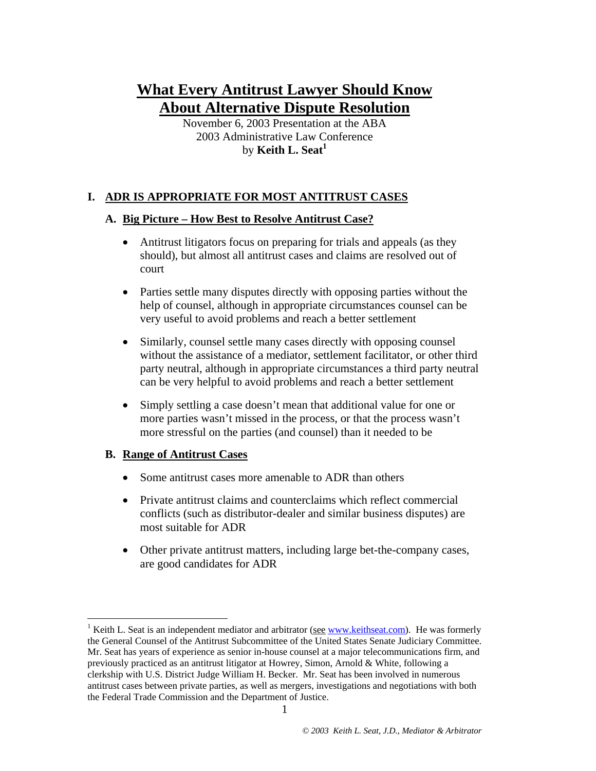# **What Every Antitrust Lawyer Should Know About Alternative Dispute Resolution**

November 6, 2003 Presentation at the ABA 2003 Administrative Law Conference by **Keith L. Seat[1](#page-0-0)**

## **I. ADR IS APPROPRIATE FOR MOST ANTITRUST CASES**

#### **A. Big Picture – How Best to Resolve Antitrust Case?**

- Antitrust litigators focus on preparing for trials and appeals (as they should), but almost all antitrust cases and claims are resolved out of court
- Parties settle many disputes directly with opposing parties without the help of counsel, although in appropriate circumstances counsel can be very useful to avoid problems and reach a better settlement
- Similarly, counsel settle many cases directly with opposing counsel without the assistance of a mediator, settlement facilitator, or other third party neutral, although in appropriate circumstances a third party neutral can be very helpful to avoid problems and reach a better settlement
- Simply settling a case doesn't mean that additional value for one or more parties wasn't missed in the process, or that the process wasn't more stressful on the parties (and counsel) than it needed to be

#### **B. Range of Antitrust Cases**

 $\overline{a}$ 

- Some antitrust cases more amenable to ADR than others
- Private antitrust claims and counterclaims which reflect commercial conflicts (such as distributor-dealer and similar business disputes) are most suitable for ADR
- Other private antitrust matters, including large bet-the-company cases, are good candidates for ADR

<span id="page-0-0"></span><sup>&</sup>lt;sup>1</sup> Keith L. Seat is an independent mediator and arbitrator (see [www.keithseat.com](http://www.keithseat.com/)). He was formerly the General Counsel of the Antitrust Subcommittee of the United States Senate Judiciary Committee. Mr. Seat has years of experience as senior in-house counsel at a major telecommunications firm, and previously practiced as an antitrust litigator at Howrey, Simon, Arnold & White, following a clerkship with U.S. District Judge William H. Becker. Mr. Seat has been involved in numerous antitrust cases between private parties, as well as mergers, investigations and negotiations with both the Federal Trade Commission and the Department of Justice.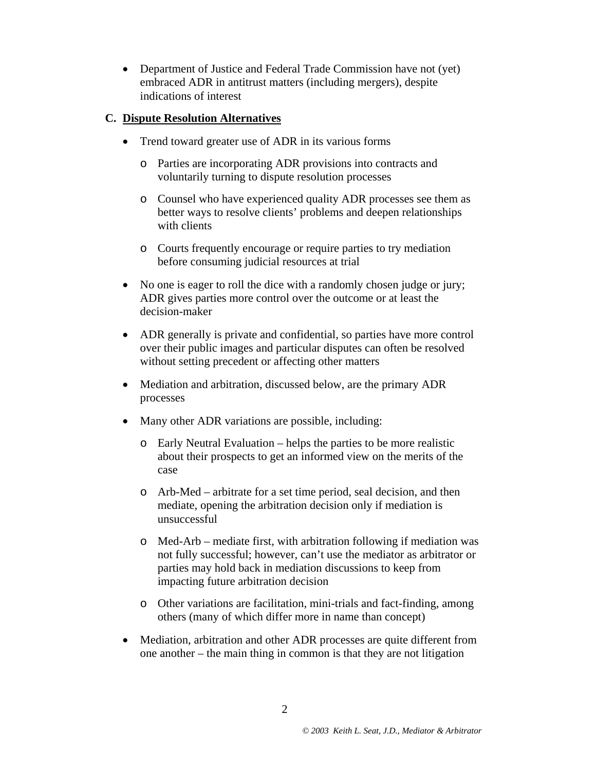• Department of Justice and Federal Trade Commission have not (yet) embraced ADR in antitrust matters (including mergers), despite indications of interest

#### **C. Dispute Resolution Alternatives**

- Trend toward greater use of ADR in its various forms
	- o Parties are incorporating ADR provisions into contracts and voluntarily turning to dispute resolution processes
	- o Counsel who have experienced quality ADR processes see them as better ways to resolve clients' problems and deepen relationships with clients
	- o Courts frequently encourage or require parties to try mediation before consuming judicial resources at trial
- No one is eager to roll the dice with a randomly chosen judge or jury; ADR gives parties more control over the outcome or at least the decision-maker
- ADR generally is private and confidential, so parties have more control over their public images and particular disputes can often be resolved without setting precedent or affecting other matters
- Mediation and arbitration, discussed below, are the primary ADR processes
- Many other ADR variations are possible, including:
	- o Early Neutral Evaluation helps the parties to be more realistic about their prospects to get an informed view on the merits of the case
	- o Arb-Med arbitrate for a set time period, seal decision, and then mediate, opening the arbitration decision only if mediation is unsuccessful
	- o Med-Arb mediate first, with arbitration following if mediation was not fully successful; however, can't use the mediator as arbitrator or parties may hold back in mediation discussions to keep from impacting future arbitration decision
	- o Other variations are facilitation, mini-trials and fact-finding, among others (many of which differ more in name than concept)
- Mediation, arbitration and other ADR processes are quite different from one another – the main thing in common is that they are not litigation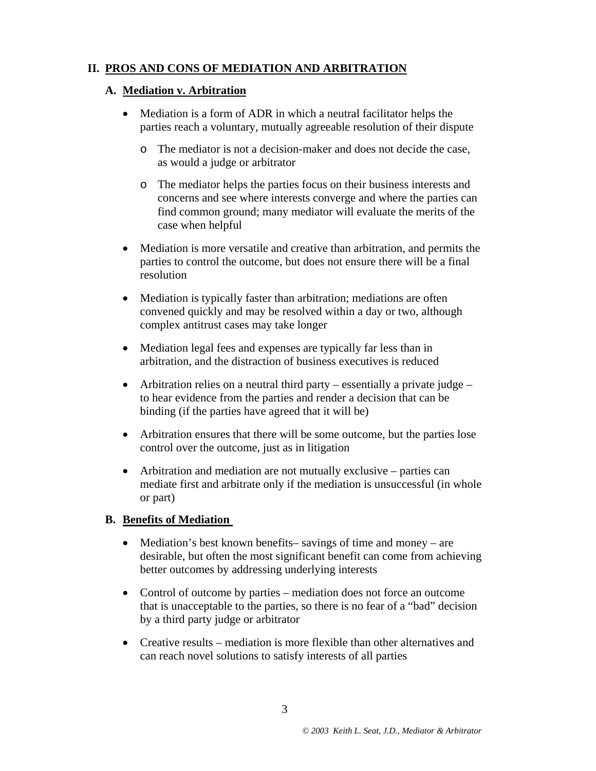# **II. PROS AND CONS OF MEDIATION AND ARBITRATION**

#### **A. Mediation v. Arbitration**

- Mediation is a form of ADR in which a neutral facilitator helps the parties reach a voluntary, mutually agreeable resolution of their dispute
	- o The mediator is not a decision-maker and does not decide the case, as would a judge or arbitrator
	- o The mediator helps the parties focus on their business interests and concerns and see where interests converge and where the parties can find common ground; many mediator will evaluate the merits of the case when helpful
- Mediation is more versatile and creative than arbitration, and permits the parties to control the outcome, but does not ensure there will be a final resolution
- Mediation is typically faster than arbitration; mediations are often convened quickly and may be resolved within a day or two, although complex antitrust cases may take longer
- Mediation legal fees and expenses are typically far less than in arbitration, and the distraction of business executives is reduced
- Arbitration relies on a neutral third party essentially a private judge to hear evidence from the parties and render a decision that can be binding (if the parties have agreed that it will be)
- Arbitration ensures that there will be some outcome, but the parties lose control over the outcome, just as in litigation
- Arbitration and mediation are not mutually exclusive parties can mediate first and arbitrate only if the mediation is unsuccessful (in whole or part)

## **B. Benefits of Mediation**

- Mediation's best known benefits– savings of time and money are desirable, but often the most significant benefit can come from achieving better outcomes by addressing underlying interests
- Control of outcome by parties mediation does not force an outcome that is unacceptable to the parties, so there is no fear of a "bad" decision by a third party judge or arbitrator
- Creative results mediation is more flexible than other alternatives and can reach novel solutions to satisfy interests of all parties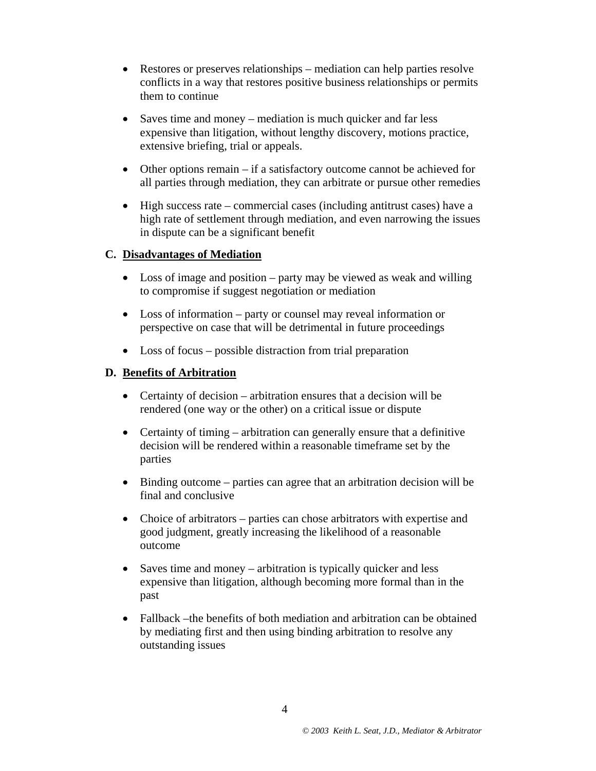- Restores or preserves relationships mediation can help parties resolve conflicts in a way that restores positive business relationships or permits them to continue
- Saves time and money mediation is much quicker and far less expensive than litigation, without lengthy discovery, motions practice, extensive briefing, trial or appeals.
- Other options remain if a satisfactory outcome cannot be achieved for all parties through mediation, they can arbitrate or pursue other remedies
- High success rate commercial cases (including antitrust cases) have a high rate of settlement through mediation, and even narrowing the issues in dispute can be a significant benefit

### **C. Disadvantages of Mediation**

- Loss of image and position party may be viewed as weak and willing to compromise if suggest negotiation or mediation
- Loss of information party or counsel may reveal information or perspective on case that will be detrimental in future proceedings
- Loss of focus possible distraction from trial preparation

### **D. Benefits of Arbitration**

- Certainty of decision arbitration ensures that a decision will be rendered (one way or the other) on a critical issue or dispute
- Certainty of timing arbitration can generally ensure that a definitive decision will be rendered within a reasonable timeframe set by the parties
- Binding outcome parties can agree that an arbitration decision will be final and conclusive
- Choice of arbitrators parties can chose arbitrators with expertise and good judgment, greatly increasing the likelihood of a reasonable outcome
- Saves time and money arbitration is typically quicker and less expensive than litigation, although becoming more formal than in the past
- Fallback –the benefits of both mediation and arbitration can be obtained by mediating first and then using binding arbitration to resolve any outstanding issues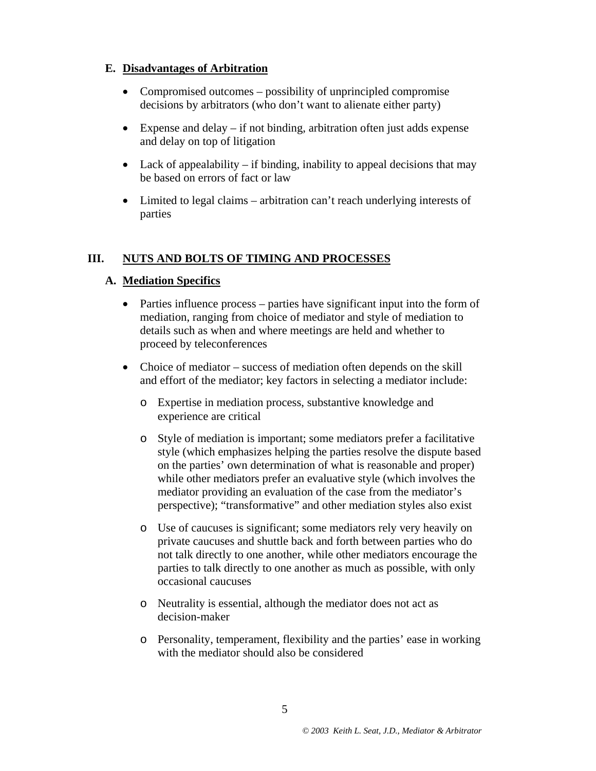#### **E. Disadvantages of Arbitration**

- Compromised outcomes possibility of unprincipled compromise decisions by arbitrators (who don't want to alienate either party)
- Expense and delay if not binding, arbitration often just adds expense and delay on top of litigation
- Lack of appealability if binding, inability to appeal decisions that may be based on errors of fact or law
- Limited to legal claims arbitration can't reach underlying interests of parties

## **III. NUTS AND BOLTS OF TIMING AND PROCESSES**

## **A. Mediation Specifics**

- Parties influence process parties have significant input into the form of mediation, ranging from choice of mediator and style of mediation to details such as when and where meetings are held and whether to proceed by teleconferences
- Choice of mediator success of mediation often depends on the skill and effort of the mediator; key factors in selecting a mediator include:
	- o Expertise in mediation process, substantive knowledge and experience are critical
	- o Style of mediation is important; some mediators prefer a facilitative style (which emphasizes helping the parties resolve the dispute based on the parties' own determination of what is reasonable and proper) while other mediators prefer an evaluative style (which involves the mediator providing an evaluation of the case from the mediator's perspective); "transformative" and other mediation styles also exist
	- o Use of caucuses is significant; some mediators rely very heavily on private caucuses and shuttle back and forth between parties who do not talk directly to one another, while other mediators encourage the parties to talk directly to one another as much as possible, with only occasional caucuses
	- o Neutrality is essential, although the mediator does not act as decision-maker
	- o Personality, temperament, flexibility and the parties' ease in working with the mediator should also be considered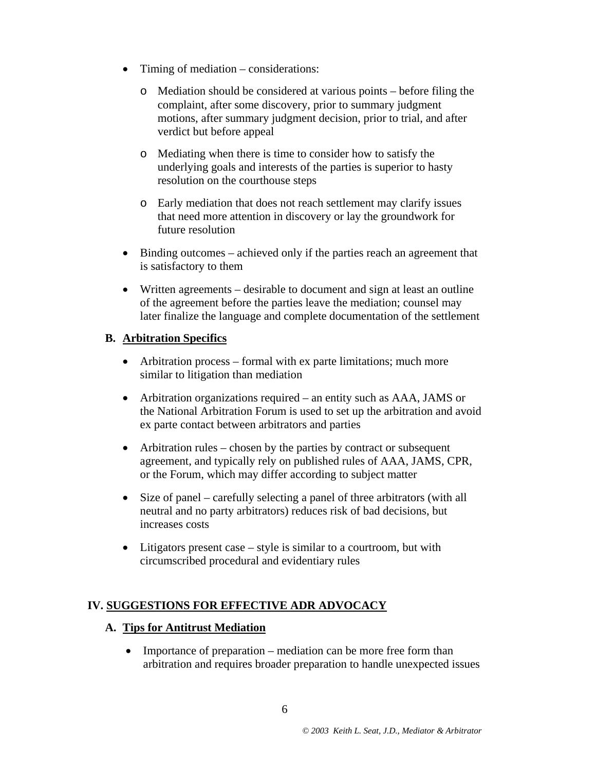- Timing of mediation considerations:
	- o Mediation should be considered at various points before filing the complaint, after some discovery, prior to summary judgment motions, after summary judgment decision, prior to trial, and after verdict but before appeal
	- o Mediating when there is time to consider how to satisfy the underlying goals and interests of the parties is superior to hasty resolution on the courthouse steps
	- o Early mediation that does not reach settlement may clarify issues that need more attention in discovery or lay the groundwork for future resolution
- Binding outcomes achieved only if the parties reach an agreement that is satisfactory to them
- Written agreements desirable to document and sign at least an outline of the agreement before the parties leave the mediation; counsel may later finalize the language and complete documentation of the settlement

### **B. Arbitration Specifics**

- Arbitration process formal with ex parte limitations; much more similar to litigation than mediation
- Arbitration organizations required an entity such as AAA, JAMS or the National Arbitration Forum is used to set up the arbitration and avoid ex parte contact between arbitrators and parties
- Arbitration rules chosen by the parties by contract or subsequent agreement, and typically rely on published rules of AAA, JAMS, CPR, or the Forum, which may differ according to subject matter
- Size of panel carefully selecting a panel of three arbitrators (with all neutral and no party arbitrators) reduces risk of bad decisions, but increases costs
- Litigators present case style is similar to a courtroom, but with circumscribed procedural and evidentiary rules

# **IV. SUGGESTIONS FOR EFFECTIVE ADR ADVOCACY**

#### **A. Tips for Antitrust Mediation**

• Importance of preparation – mediation can be more free form than arbitration and requires broader preparation to handle unexpected issues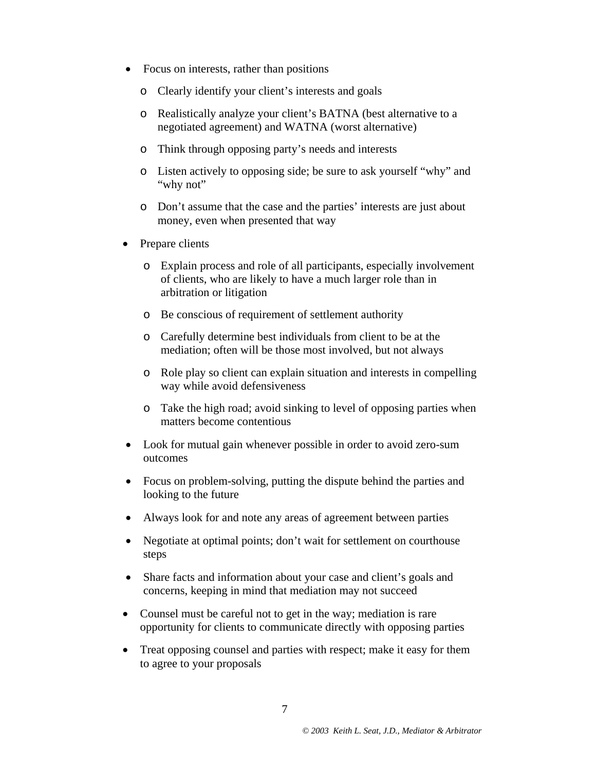- Focus on interests, rather than positions
	- o Clearly identify your client's interests and goals
	- o Realistically analyze your client's BATNA (best alternative to a negotiated agreement) and WATNA (worst alternative)
	- o Think through opposing party's needs and interests
	- o Listen actively to opposing side; be sure to ask yourself "why" and "why not"
	- o Don't assume that the case and the parties' interests are just about money, even when presented that way
- Prepare clients
	- o Explain process and role of all participants, especially involvement of clients, who are likely to have a much larger role than in arbitration or litigation
	- o Be conscious of requirement of settlement authority
	- o Carefully determine best individuals from client to be at the mediation; often will be those most involved, but not always
	- o Role play so client can explain situation and interests in compelling way while avoid defensiveness
	- o Take the high road; avoid sinking to level of opposing parties when matters become contentious
- Look for mutual gain whenever possible in order to avoid zero-sum outcomes
- Focus on problem-solving, putting the dispute behind the parties and looking to the future
- Always look for and note any areas of agreement between parties
- Negotiate at optimal points; don't wait for settlement on courthouse steps
- Share facts and information about your case and client's goals and concerns, keeping in mind that mediation may not succeed
- Counsel must be careful not to get in the way; mediation is rare opportunity for clients to communicate directly with opposing parties
- Treat opposing counsel and parties with respect; make it easy for them to agree to your proposals